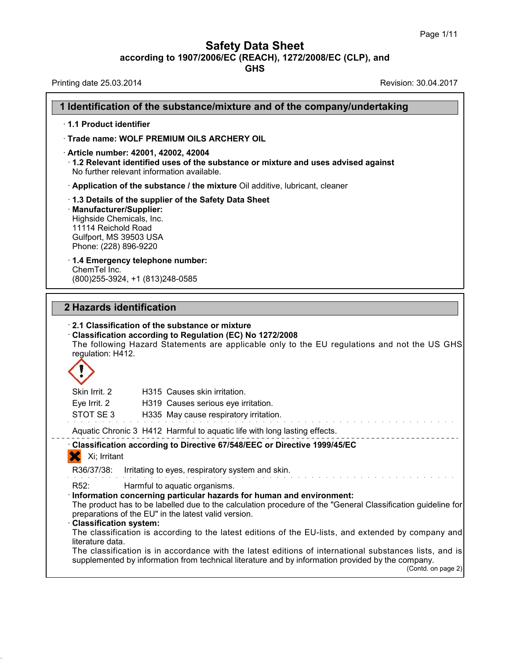**Safety Data Sheet**<br> **according to 1907/2006/EC (REACH), 1272/2008/EC (CLP), and**<br> **GHS** 

| <b>Safety Data Sheet</b><br>according to 1907/2006/EC (REACH), 1272/2008/EC (CLP), and<br><b>GHS</b>                                                                                                                                                                                                                                                                                                                                                                                                                                                                  | Page I/II            |
|-----------------------------------------------------------------------------------------------------------------------------------------------------------------------------------------------------------------------------------------------------------------------------------------------------------------------------------------------------------------------------------------------------------------------------------------------------------------------------------------------------------------------------------------------------------------------|----------------------|
| Printing date 25.03.2014                                                                                                                                                                                                                                                                                                                                                                                                                                                                                                                                              | Revision: 30.04.2017 |
| 1 Identification of the substance/mixture and of the company/undertaking                                                                                                                                                                                                                                                                                                                                                                                                                                                                                              |                      |
| 1.1 Product identifier                                                                                                                                                                                                                                                                                                                                                                                                                                                                                                                                                |                      |
| Trade name: WOLF PREMIUM OILS ARCHERY OIL                                                                                                                                                                                                                                                                                                                                                                                                                                                                                                                             |                      |
| · Article number: 42001, 42002, 42004<br>$\cdot$ 1.2 Relevant identified uses of the substance or mixture and uses advised against<br>No further relevant information available.                                                                                                                                                                                                                                                                                                                                                                                      |                      |
| Application of the substance / the mixture Oil additive, lubricant, cleaner                                                                                                                                                                                                                                                                                                                                                                                                                                                                                           |                      |
| 1.3 Details of the supplier of the Safety Data Sheet<br>· Manufacturer/Supplier:<br>Highside Chemicals, Inc.<br>11114 Reichold Road<br>Gulfport, MS 39503 USA<br>Phone: (228) 896-9220                                                                                                                                                                                                                                                                                                                                                                                |                      |
| 1.4 Emergency telephone number:<br>ChemTel Inc.<br>(800) 255-3924, +1 (813) 248-0585                                                                                                                                                                                                                                                                                                                                                                                                                                                                                  |                      |
| 2 Hazards identification<br>2.1 Classification of the substance or mixture<br>Classification according to Regulation (EC) No 1272/2008<br>The following Hazard Statements are applicable only to the EU regulations and not the US GHS<br>regulation: H412.                                                                                                                                                                                                                                                                                                           |                      |
| Skin Irrit. 2<br>H315 Causes skin irritation.                                                                                                                                                                                                                                                                                                                                                                                                                                                                                                                         |                      |
| Eve Irrit, 2<br>H319 Causes serious eye irritation.<br>STOT SE3                                                                                                                                                                                                                                                                                                                                                                                                                                                                                                       |                      |
| H335 May cause respiratory irritation.                                                                                                                                                                                                                                                                                                                                                                                                                                                                                                                                |                      |
| Aquatic Chronic 3 H412 Harmful to aquatic life with long lasting effects.                                                                                                                                                                                                                                                                                                                                                                                                                                                                                             |                      |
| Classification according to Directive 67/548/EEC or Directive 1999/45/EC<br>Xi; Irritant                                                                                                                                                                                                                                                                                                                                                                                                                                                                              |                      |
| R36/37/38:<br>Irritating to eyes, respiratory system and skin.                                                                                                                                                                                                                                                                                                                                                                                                                                                                                                        |                      |
| R <sub>52</sub> :<br>Harmful to aquatic organisms.<br>· Information concerning particular hazards for human and environment:<br>The product has to be labelled due to the calculation procedure of the "General Classification guideline for<br>preparations of the EU" in the latest valid version.<br>· Classification system:<br>The classification is according to the latest editions of the EU-lists, and extended by company and<br>literature data.<br>The classification is in accordance with the latest editions of international substances lists, and is |                      |
| supplemented by information from technical literature and by information provided by the company.                                                                                                                                                                                                                                                                                                                                                                                                                                                                     | (Contd. on page 2)   |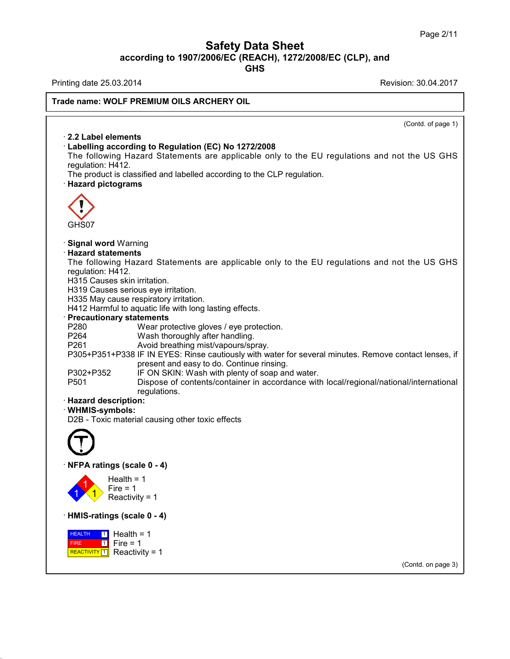# Safety Data Sheet<br><sub>006/EC (REACH), 1272/2008/EC (CLP),<br>GHS</sub> Page 2/11<br>**according to 1907/2006/EC (REACH), 1272/2008/EC (CLP), and<br>GHS<br>Revision: 30.04.2017<br>Revision: 30.04.2017 Safety Data Sheet**<br>
according to 1907/2006/EC (REACH), 1272/2008/EC (CLP), and<br>
Printing date 25.03.2014<br>
Revision: 30.04.2017<br>
Revision: 30.04.2017

**GHS**

38.0.16

# **Trade name: WOLF PREMIUM OILS ARCHERY OIL**

 $\overline{\text{Contd. of page 1}}$ · **2.2 Label elements Example 1 and Solvetter State International Conduct State Inc.**<br> **E2.2 Label elements**<br> **Cabelling according to Regulation (EC) No 1272/2008**<br>
The following Hazard Statements are applicable only to the requlation: H412. 2.2 Label elements<br>
Labelling according to Regulation (EC) No 1272/2008<br>
The following Hazard Statements are applicable only to the EU regulations and not the US GHS<br>
regulation: H412.<br>
The product is classified and labell regulation: H412.<br>The product is classified and labelled according to the CLP regulation.<br>· Hazard pictograms The following to Regulation (EC) No 1272/2008<br>The following Hazard Statements are applicable only to the EU regulat<br>regulation: H412.<br>The product is classified and labelled according to the CLP regulation.<br>**· Hazard pictog** GHS07 **• Signal word Warning<br>• Signal word Warning<br>• Hazard statements<br>• The following Hazard Statem CHS07**<br> **Signal word Warning<br>
<b>Hazard statements**<br>
The following Hazard State<br>
requlation: H412. GHS07<br>Signal word Warning<br>Hazard statements<br>The following Hazard Statements are applicable only to the EU regulations and not the US GHS<br>regulation: H412.<br>H315 Causes skin irritation GHS07<br>**Signal word** Warning<br>**Hazard statements**<br>The following Hazard State<br>regulation: H412.<br>H315 Causes skin irritation.<br>H319 Causes serious eve irrita Signal word Warning<br>Hazard statements<br>The following Hazard Statements a<br>regulation: H412.<br>H315 Causes skin irritation.<br>H335 May cause respiratory irritation. **Signal word** Warning<br>**Hazard statements**<br>The following Hazard Statements are app<br>regulation: H412.<br>H315 Causes serious eye irritation.<br>H335 May cause respiratory irritation.<br>H412 Harmful to aquatic life with long lasting. **Hazard statements**<br>The following Hazard Statements are applic<br>regulation: H412.<br>H315 Causes skin irritation.<br>H319 Causes serious eye irritation.<br>H335 May cause respiratory irritation.<br>H412 Harmful to aquatic life with lon The following Hazard Statements are applicable only to th<br>regulation: H412.<br>H315 Causes skin irritation.<br>H319 Causes serious eye irritation.<br>H335 May cause respiratory irritation.<br>H412 Harmful to aquatic life with long las H315 Causes skin irritation.<br>
H319 Causes serious eye irritation.<br>
H335 May cause respiratory irritation.<br>
H412 Harmful to aquatic life with long lasting effects.<br> **Precautionary statements**<br>
P280 Wear protective gloves / H319 Causes serious eye irritation.<br>
H335 May cause respiratory irritation.<br>
H412 Harmful to aquatic life with long lasting effects.<br> **Precautionary statements**<br>
P260 Wear protective gloves / eye protection.<br>
P264 Wash tho H335 May cause respiratory irritation.<br>
H412 Harmful to aquatic life with long lasting effects.<br> **Precautionary statements**<br>
P260 Wear protective gloves / eye protection.<br>
P264 Wash thoroughly after handling.<br>
P261 Avoid b Partian Continue in the Matthew of Soan and water<br>
Payabota The Continue and the Wear protective gloves / eye protection.<br>
P264 Wash thoroughly after handling.<br>
P261 Avoid breathing mist/vapours/spray.<br>
P305+P351+P338 IF I tements<br>Wear protective gloves / eye protection.<br>Wash thoroughly after handling.<br>Avoid breathing mist/vapours/spray.<br>IF IN EYES: Rinse cautiously with water for several r<br>present and easy to do. Continue rinsing.<br>IF ON SKI P280 Wear protective gloves / eye protection.<br>
P264 Wash thoroughly after handling.<br>
P305+P351+P338 IF IN EYES: Rinse cautiously with water for several minutes. F<br>
present and easy to do. Continue rinsing.<br>
P302+P352 IF ON P264 Wash thoroughly after handling.<br>
P261 Avoid breathing mist/vapours/spray.<br>
P305+P351+P338 IF IN EYES: Rinse cautiously with water for several minutes. Remove contact lenses, if<br>
present and easy to do. Continue rinsin regulations. P303+P351+P338 IF IN E1<br>present<br>P302+P352 IF ON S<br>P501 Dispose<br>regulation:<br>**Hazard description:**<br>WHMIS-symbols:<br>D2B - Toxic material causin · **WHMIS-symbols:** P302+P352 IF ON SKIN: Wash with plenty of soap and<br>P501 Dispose of contents/container in accord<br>regulations.<br>**Hazard description:**<br>WHMIS-symbols:<br>D2B - Toxic material causing other toxic effects D2B - Toxic material causing other toxic efference of the Material Causing other toxic efference of the Material Street of Texas (scale 0 - 4)  $\left| \frac{1}{1} \right\rangle$  Reactivi Health =  $1$ <br>Fire =  $1$ **igs (scale 0 - 4)**<br>Health = 1<br>Fire = 1<br>Reactivity = 1 **ngs (scale 0 - 4)**<br>Health = 1<br>Fire = 1<br>Reactivity = 1 ngs (scale 0 - 4)<br>Health = 1<br>Fire = 1<br>Reactivity = 1<br>ngs (scale 0 - 4) Health = 1<br>
Fire = 1<br>
Reactivity = 1<br>
HMIS-ratings (scale 0 - 4)<br>
HEALTH 1 Health = 1 **HEALTH** 1 Hea FIRE REACTIVITY  $1$  Reactivity = 1  $1$  Fire = 1 Fire = 1<br>
Reactivity = 1<br> **ings (scale 0 - 4)**<br> **1**<br>
Fire = 1<br> **1**<br>
Reactivity = 1 teactivity = 1<br>**Is (scale 0 - 4)**<br>Health = 1<br>Fire = 1<br>Reactivity = 1 **s (scale 0 - 4)**<br>Health = 1<br>Fire = 1<br>Reactivity = 1 (Contd. on page 3)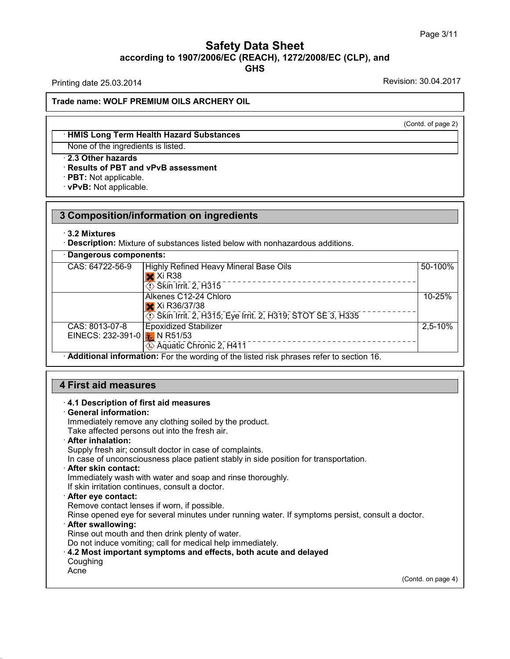# Safety Data Sheet<br><sub>006/EC (REACH), 1272/2008/EC (CLP),<br>GHS</sub> Page 3/11<br> **according to 1907/2006/EC (REACH), 1272/2008/EC (CLP), and<br>
GHS<br>
Printing date 25.03.2014<br>
Revision: 30.04.2017 GHS Safety Data Sheet**<br>according to 1907/2006/EC (REACH), 1272/2008/EC (CLP), and<br>Printing date 25.03.2014<br>Revision: 30.04.2017<br>Frade name: WOLE PREMILIM OU S ARCHERY OU

**Trade name: WOLF PREMIUM OILS ARCHERY OIL Example 12 ACCED STATE IN STATE IN STATE IS SET THAIRS Long Term Health Hazard Substances**<br>
None of the ingredients is listed. (Contd. of page 2)

# None: WOLF PREMIUM OILS ARCHERY<br>
→ HMIS Long Term Health Hazard Substance<br>
None of the ingredients is listed.<br>
→ 2.3 Other hazards<br>
→ Results of PBT and vPvB assessment<br>
→ PBT: Not applicable. **• HMIS Long Term Health Hazard Substances**<br>None of the ingredients is listed.<br>• 2.3 Other hazards<br>• Results of PBT and vPvB assessment<br>• PBT: Not applicable.<br>• vPvB: Not applicable.

None of the ingredients is listed.

# **2.3 Chief Hazards<br>
Results of PBT and vPvB assessment<br>
PBT: Not applicable.<br>
3 Composition/information on ingredients<br>
3.2 Mixtures 3 Composition/information on ingredients**<br> **·** 3.2 Mixtures

| Dangerous components:<br>CAS: 64722-56-9<br>50-100%<br>Highly Refined Heavy Mineral Base Oils<br>$\mathsf{\times}$ Xi R38<br>___________________________<br>$\circ$ Skin Irrit. 2, $\overline{H}3\overline{1}5$<br>Alkenes C12-24 Chloro<br>10-25%<br>X Xi R36/37/38<br>Skin Irrit. 2, H315; Eye Irrit. 2, H319; STOT SE 3, H335<br>CAS: 8013-07-8<br><b>Epoxidized Stabilizer</b><br>$2,5-10%$<br>EINECS: 232-391-0 $\frac{1}{2}$ N R51/53<br>Aquatic Chronic 2, H411<br>· Additional information: For the wording of the listed risk phrases refer to section 16. | $\cdot$ 3.2 Mixtures | Description: Mixture of substances listed below with nonhazardous additions. |  |
|---------------------------------------------------------------------------------------------------------------------------------------------------------------------------------------------------------------------------------------------------------------------------------------------------------------------------------------------------------------------------------------------------------------------------------------------------------------------------------------------------------------------------------------------------------------------|----------------------|------------------------------------------------------------------------------|--|
|                                                                                                                                                                                                                                                                                                                                                                                                                                                                                                                                                                     |                      |                                                                              |  |
|                                                                                                                                                                                                                                                                                                                                                                                                                                                                                                                                                                     |                      |                                                                              |  |
|                                                                                                                                                                                                                                                                                                                                                                                                                                                                                                                                                                     |                      |                                                                              |  |
|                                                                                                                                                                                                                                                                                                                                                                                                                                                                                                                                                                     |                      |                                                                              |  |
|                                                                                                                                                                                                                                                                                                                                                                                                                                                                                                                                                                     |                      |                                                                              |  |

# • **Additional Information:** For the wording of the<br> **4.1 Description of first aid measures**<br>
• **4.1 Description of first aid measures**<br>
• **General information:**<br>
Immediately remove any clothing soiled by the p

**First aid measures**<br> **4.1 Description of first aid**<br> **General information:**<br>
Immediately remove any clo<br>
Take affected persons out in First aid measures<br>4.1 Description of first aid measures<br>General information:<br>Immediately remove any clothing soiled by the product.<br>Take affected persons out into the fresh air.<br>After inhalation: **First aid measures**<br> **A.1 Description of first aid measures**<br> **Ceneral information:**<br>
Immediately remove any clothing soiled by the product.<br>
Take affected persons out into the fresh air.<br> **After inhalation:**<br>
Supply fres 4.1 Description of first aid measures<br>General information:<br>Immediately remove any clothing soiled by the product.<br>Take affected persons out into the fresh air.<br>After inhalation:<br>Supply fresh air; consult doctor in case of **In case of unconsciousness place by the product.**<br>
Take affected persons out into the fresh air.<br> **After inhalation:**<br>
Supply fresh air; consult doctor in case of complaints.<br>
In case of unconsciousness place patient stab

Take affected persons out into the fresh air.<br> **After inhalation:**<br>
Supply fresh air; consult doctor in case of complaints.<br>
In case of unconsciousness place patient stably in side position for the<br> **After skin contact:**<br> If Supply fresh air; consult doctor in case of complaints.<br>In case of unconsciousness place patient stably in side<br> **After skin contact:**<br>
Immediately wash with water and soap and rinse thoror<br>
If skin irritation continues

In case of unconsciousness place patient stably in sidentler skin contact:<br>
Immediately wash with water and soap and rinse tholor<br>
If skin irritation continues, consult a doctor.<br> **After eye contact:**<br>
Remove contact lense Refler skin contact:<br>
Immediately wash with water and soap and rinse thoroughly.<br>
If skin irritation continues, consult a doctor.<br> **After eye contact:**<br>
Remove contact lenses if worn, if possible.<br>
Rinse opened eye for sev If skin irritation continues, consult a doctor.<br>
After eye contact:<br>
Remove contact lenses if worn, if possible.<br>
Rinse opened eye for several minutes under running water. If symptoms persist, consult a doctor.<br>
After swal Or After eye contact:<br>
Rimove contact lenses if worn, if possible.<br>
Rinse opened eye for several minutes under running water. If symptoms persist, c<br> **After swallowing:**<br>
Rinse out mouth and then drink plenty of water.<br>
Do

**Coughing** 

Acne

38.0.16

(Contd. on page 4)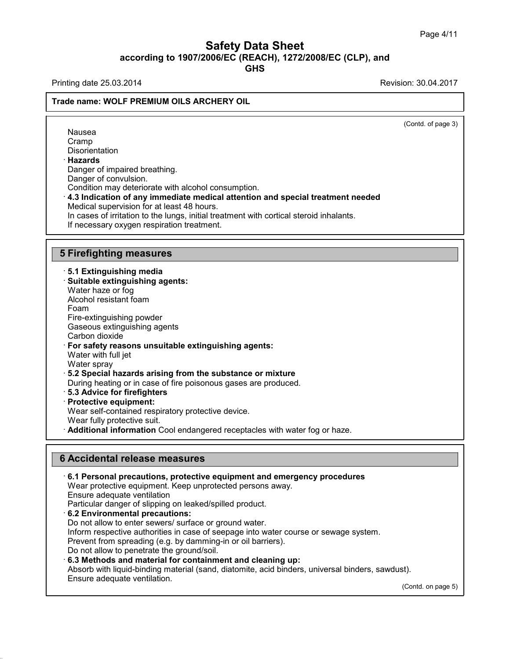# Safety Data Sheet<br><sub>006/EC (REACH), 1272/2008/EC (CLP),<br>GHS</sub> Page 4/11<br>**according to 1907/2006/EC (REACH), 1272/2008/EC (CLP), and<br>GHS<br>Revision: 30.04.2017<br>Revision: 30.04.2017 GHS Safety Data Sheet**<br>
according to 1907/2006/EC (REACH), 1272/2008/EC (CLP), and<br>
Printing date 25.03.2014<br>
Revision: 30.04.2017<br>
Revision: 30.04.2017

Nausea Cramp **Disorientation** · **Hazards**

# **Trade name: WOLF PREMIUM OILS ARCHERY OIL**

 $\overline{(\text{Cond. of page 3})}$ 

Nausea<br>Cramp<br>Disorientation<br>**Hazards**<br>Danger of impaired breathing.<br>Danger of convulsion.<br>Condition may deteriorate with alcohol. Danger of impaired breathing.<br>Danger of convulsion. Cramp<br> **Condition may deteriorate with alcohol consumption.**<br> **Condition may deteriorate with alcohol consumption.**<br> **4.3 Indication of any immediate medical attention and special treatment needed**<br> **Medical supervision fo** Hazards<br>Danger of impaired breathing.<br>Danger of convulsion.<br>Condition may deteriorate with alcohol consumption.<br>4.3 Indication of any immediate medical attention<br>Medical supervision for at least 48 hours.<br>In cases of irrit Danger of impaired breathing.<br>Danger of convulsion.<br>Condition may deteriorate with alcohol consumption.<br>**4.3 Indication of any immediate medical attention and special treatment needed**<br>Medical supervision for at least 48 h Condition may deteriorate with alcohol consumption.<br>4.3 Indication of any immediate medical attention and special treatment n<br>Medical supervision for at least 48 hours.<br>In cases of irritation to the lungs, initial treatmen 4.3 Indication of any Immediate medi-<br>
Medical supervision for at least 48 hours<br>
In cases of irritation to the lungs, initial t<br>
If necessary oxygen respiration treatme<br>
5 Firefighting measures<br>
5.1 Extinguishing media

- **Firefighting measures**<br> **5.1 Extinguishing media**<br>
 Suitable extinguishing agents:<br>
™Mater haze or foo **Firefighting measures<br>· 5.1 Extinguishing media<br>· Suitable extinguishing agents:<br>Water haze or fog<br>Alcohol resistant foam** Firefighting measures<br>5.1 Extinguishing media<br>Suitable extinguishing agents:<br>Water haze or fog<br>Alcohol resistant foam Firefighting measures<br>5.1 Extinguishing media<br>Suitable extinguishing agents:<br>Water haze or fog<br>Alcohol resistant foam<br>Foam<br>Fire-extinguishing powder Foam **5.1 Extinguishing media<br>Suitable extinguishing agents:**<br>Water haze or fog<br>Alcohol resistant foam<br>Foam<br>Fire-extinguishing powder<br>Gaseous extinguishing agents<br>Carbon dioxide **Suitable extinguishing agents:**<br>Water haze or fog<br>Alcohol resistant foam<br>Foam<br>Fire-extinguishing powder<br>Gaseous extinguishing agents<br>Carbon dioxide<br>**For safety reasons unsuitable extinguis** Water haze or fog<br>Alcohol resistant foam<br>Foam<br>Fire-extinguishing powder<br>Gaseous extinguishing age<br>Carbon dioxide<br>**For safety reasons unsui**<br>Water with full jet Alconol resistant roam<br>
Foam<br>
Fire-extinguishing powder<br>
Gaseous extinguishing agents<br>
Carbon dioxide<br> **For safety reasons unsuitable extinguishing agents:**<br>
Water with full jet<br>
Water sprav Foam<br>Fire-extinguishing powder<br>Gaseous extinguishing agents<br>Carbon dioxide<br>**For safety reasons unsuitable e**<br>Water with full jet<br>Water spray<br>5.2 Special bazards arising from Fire-extinguishing powder<br>Gaseous extinguishing ag<br>Carbon dioxide<br>**For safety reasons unsu**<br>Water with full jet<br>Water spray<br>**5.2 Special hazards aris**<br>During beating or in case Gaseous extinguishing agents<br>
Carbon dioxide<br> **For safety reasons unsuitable extinguishing agents:**<br>
Water with full jet<br>
Water spray<br> **5.2 Special hazards arising from the substance or mixture**<br>
During heating or in case Carbon dioxide<br>
For safety reasons unsuitable extinguishing agents:<br>
Water with full jet<br>
Water spray<br> **5.2 Special hazards arising from the substance or mixture**<br>
During heating or in case of fire poisonous gases are prod Water with full jet<br>
Water spray<br> **5.2 Special hazards arising from the substance or mixture**<br>
During heating or in case of fire poisonous gases are produced<br> **5.3 Advice for firefighters**<br> **Protective equipment:**<br>
Wear se
- Water spray<br>**5.2 Special hazards arising from the substance or mixture**<br>During heating or in case of fire poisonous gases are produce<br>**5.3 Advice for firefighters**<br>**Protective equipment:**<br>Wear self-contained respiratory pr
- 
- 

38.0.16

**Branch Fully protective suiters of the substance or mixture**<br> **Branch Cool Exercise** State for firefighters<br> **Protective equipment:**<br>
Wear self-contained respiratory protective device.<br>
Wear fully protective suit.<br> **Addit** 

Frotective equipment:<br>
Wear self-contained respiratory protective device<br>
Wear fully protective suit.<br> **Additional information** Cool endangered recept<br> **6 Accidental release measures**<br>
6.1 Personal precautions, protective • **Additional Information** Cool endangered receptacies with water fog or haze.<br> **• Accidental release measures**<br>
• **6.1 Personal precautions, protective equipment and emergency procedures**<br>
Wear protective equipment. Keep **Accidental release measures<br>6.1 Personal precautions, protective equipment and emergency proce**<br>Wear protective equipment. Keep unprotected persons away.<br>Ensure adequate ventilation<br>Particular danger of slipping on leaked Accidental release measures<br>6.1 Personal precautions, protective<br>Wear protective equipment. Keep un<br>Ensure adequate ventilation<br>Particular danger of slipping on leake **Example 19 Accidental release measures**<br> **EXECT: CAT Personal precautions, protective equipment and emerger**<br>
Wear protective equipment. Keep unprotected persons away.<br>
Ensure adequate ventilation<br>
Particular danger of **6.1 Personal precautions, protective equipment and emergenc**<br>Wear protective equipment. Keep unprotected persons away.<br>Ensure adequate ventilation<br>Particular danger of slipping on leaked/spilled product.<br>**6.2 Environmenta** Wear protective equipment. Keep unprotected persons away.<br>Ensure adequate ventilation<br>Particular danger of slipping on leaked/spilled product.<br>**6.2 Environmental precautions:**<br>Do not allow to enter sewers/ surface or groun Ensure adequate ventilation<br>Particular danger of slipping on leaked/spilled product.<br>6.2 Environmental precautions:<br>Do not allow to enter sewers/ surface or ground water.<br>Inform respective authorities in case of seepage in Particular danger of slipping on leaked/spilled product.<br> **6.2 Environmental precautions:**<br>
Do not allow to enter sewers/ surface or ground water.<br>
Inform respective authorities in case of seepage into water course or sewa Do not allow to enter sewers/ surface or ground water.<br>
Inform respective authorities in case of seepage into water course or sewage system.<br>
Prevent from spreading (e.g. by damming-in or oil barriers).<br>
Do not allow to p Prevent from spreading (e.g. by damming-in or oil barriers).  $(t)$ .<br>(Contd. on page 5)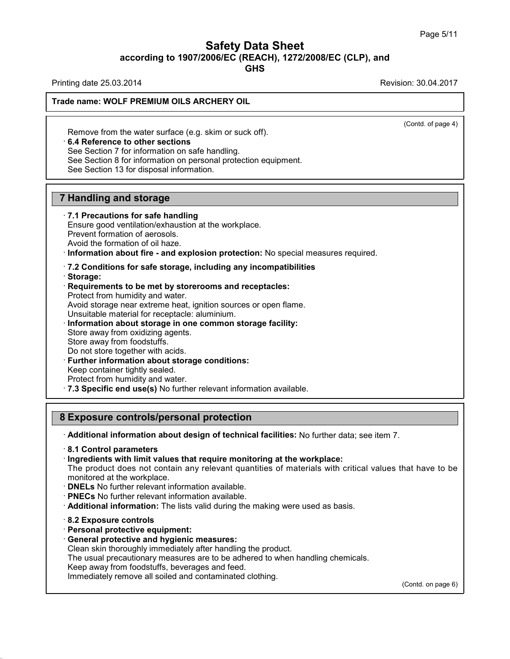# Safety Data Sheet<br><sub>006/EC (REACH), 1272/2008/EC (CLP),<br>GHS</sub> Page 5/11<br>**according to 1907/2006/EC (REACH), 1272/2008/EC (CLP), and<br>GHS<br>Revision: 30.04.2017<br>Revision: 30.04.2017 Safety Data Sheet**<br>
according to 1907/2006/EC (REACH), 1272/2008/EC (CLP), and<br>
Printing date 25.03.2014<br>
Revision: 30.04.2017<br>
Revision: 30.04.2017

**GHS**

 $\overline{(\text{Cond. of page 4})}$ 

**Trade name: WOLF PREMIUM OILS ARCHERY OIL**

Remove from the water surface (e.g. skim or suck off).<br>Remove from the water surface (e.g. skim or suck off).<br>• **6.4 Reference to other sections**<br>See Section 7 for information on safe handling.<br>See Section 8 for informatio For information CILS ARCHERT OIL<br>
See Section 7 for information on safe handling.<br>
See Section 7 for information on safe handling.<br>
See Section 8 for information on personal protection equines Remove from the water surface (e.g. skim or so<br>
6.4 Reference to other sections<br>
See Section 7 for information on safe handling.<br>
See Section 8 for information on personal prote<br>
See Section 13 for disposal information.

**6.4 Reference to other sections**<br>See Section 7 for information on safe handling.<br>See Section 8 for information on personal protection equipment.<br>See Section 13 for disposal information.

**6.4 Reference to other sections**<br>
See Section 7 for information on safe has<br>
See Section 8 for information on personal<br>
See Section 13 for disposal information.<br> **7 Handling and storage**<br> **7.1 Precautions for safe handlin** 

See Section 13 for disposal information.<br> **7.1 Precautions for safe handling**<br> **7.1 Precautions for safe handling**<br>
Ensure good ventilation/exhaustion at the wor<br>
Prevent formation of aerosols. **Handling and storage<br>T.1 Precautions for safe handling<br>Ensure good ventilation/exhaustion at the workplace.<br>Prevent formation of aerosols.<br>Avoid the formation of oil haze. Handling and storage**<br> **7.1 Precautions for safe handling**<br>
Ensure good ventilation/exhaustion at th<br>
Prevent formation of aerosols.<br>
Avoid the formation of oil haze.<br>
Information about fire - and explosion

**Provided the formation of oil haze.**<br> **Provent formation of aerosols.**<br> **Prevent formation of aerosols.**<br> **Avoid the formation of oil haze.**<br> **Provent formation about fire - and explosion protection:** No special measures

- 
- · **Storage:** Avoid the formation of oil haze.<br> **Consider information about fire - and explosion protection:** No special m<br> **Requirements to be met by storerooms and receptacles:**<br> **Requirements to be met by storerooms and receptacles:**

Information about fire - and explosion prot<br>7.2 Conditions for safe storage, including<br>Storage:<br>Requirements to be met by storerooms an<br>Protect from humidity and water.<br>Avoid storage near extreme heat, ignition sou T.2 Conditions for safe storage, including any incompatibilities<br>Storage:<br>Requirements to be met by storerooms and receptacles:<br>Protect from humidity and water.<br>Avoid storage near extreme heat, ignition sources or open fla T.2 Conditions for safe storage, including any incompatibilities<br>
Storage:<br>
Protect from humidity and water.<br>
Protect from humidity and water.<br>
Avoid storage near extreme heat, ignition sources or open flame.<br>
Unsuitable m Requirements to be met by storerooms an<br>Protect from humidity and water.<br>Avoid storage near extreme heat, ignition sou<br>Unsuitable material for receptacle: aluminium<br>Information about storage in one common<br>Store away from o Protect from humidity and water.<br>Avoid storage near extreme heat, ig<br>Unsuitable material for receptacle: a<br>**Information about storage in one**<br>Store away from oxidizing agents.<br>Store away from foodstuffs.<br>Do not store toget Avoid storage near extreme heat, ignition sources or ope<br>Unsuitable material for receptacle: aluminium.<br> **Information about storage in one common storage f**<br>
Store away from oxidizing agents.<br>
Store away from foodstuffs.<br>

- 
- 
- 

- 
- 

Information about storage in one common storage facility:<br>
Store away from oxidizing agents.<br>
Store away from foodstuffs.<br>
Do not store together with acids.<br>
Further information about storage conditions:<br>
Keep container ti Store away from oxidizing agents.<br>
Store away from foodstuffs.<br>
Do not store together with acids.<br> **Further information about storage conditions:**<br>
Keep container tightly sealed.<br>
Protect from humidity and water.<br> **7.3 Spe** Further information about storage conditions:<br>
Keep container tightly sealed.<br>
Protect from humidity and water.<br> **8 Exposure controls/personal protection**<br> **8 Exposure controls/personal protection**<br> **Additional information** 

· **Additional information about design of technical facilities:** No further data; see item 7. · **8.1 Control parameters**

**Exposure controls/personal protection**<br>
• **Additional information about design of technical facilities:** No further data; se<br>
• **8.1 Control parameters**<br>
• **Ingredients with limit values that require monitoring at the wor** The product does not contain any relevant quantities: No further data; see item 7.<br>
S.1 Control parameters<br>
Ingredients with limit values that require monitoring at the workplace:<br>
The product does not contain any relevant Followial information about design of technical facilities: No further data; see item 7.<br> **8.1 Control parameters**<br>
Fingredients with limit values that require monitoring at the workplace:<br>
The product does not contain an

- 
- 
- **DNELs** No further relevant information a<br>• **PNECs** No further relevant information a<br>• **Additional information:** The lists valid c<br>• **8.2 Exposure controls**<br>• **Personal protective equipment:**<br>• **General protective and h** • **PNECs** No further relevant information available.<br>• **Additional information:** The lists valid during the ma<br>• 8.2 **Exposure controls**<br>• **Personal protective equipment:**<br>• **General protective and hygienic measures:**<br>• Cl Additional information: The lists valid during the making were used as<br>
8.2 Exposure controls<br>
Personal protective equipment:<br>
General protective and hygienic measures:<br>
Clean skin thoroughly immediately after handling the
- 

38.0.16

- 
- 

The usual protective equipment:<br> **S.2 Exposure controls**<br> **Personal protective equipment:**<br> **General protective and hygienic measures:**<br>
Clean skin thoroughly immediately after handling the product.<br>
The usual precautionar 8.2 Exposure controls<br>Personal protective equipment:<br>General protective and hygienic measures:<br>Clean skin thoroughly immediately after handling the product.<br>The usual precautionary measures are to be adhered to when<br>Keep a **Personal protective equipment:**<br> **General protective and hygienic measures:**<br>
Clean skin thoroughly immediately after handling the product.<br>
The usual precautionary measures are to be adhered to when handl<br>
Keep away from

(Contd. on page 6)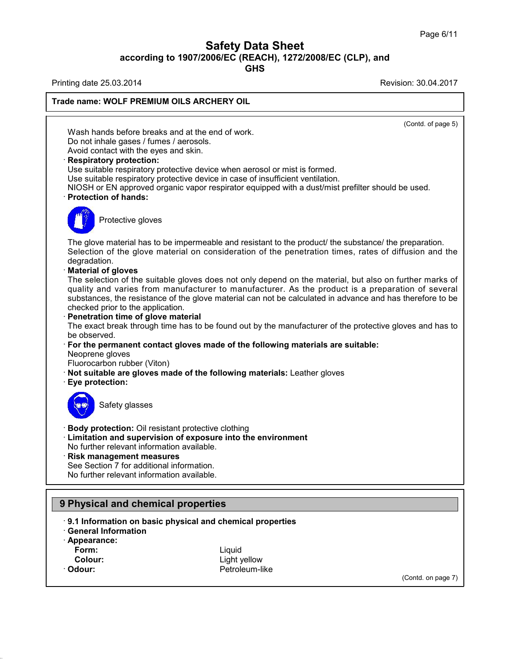# Safety Data Sheet<br><sub>006/EC (REACH), 1272/2008/EC (CLP),<br>GHS</sub> Page 6/11<br>**according to 1907/2006/EC (REACH), 1272/2008/EC (CLP), and<br>GHS<br>Revision: 30.04.2017<br>Revision: 30.04.2017 Safety Data Sheet**<br>
according to 1907/2006/EC (REACH), 1272/2008/EC (CLP), and<br>
Printing date 25.03.2014<br>
Revision: 30.04.2017<br>
Revision: 30.04.2017

**GHS**

 $\overline{(\text{Cond. of page 5})}$ 

**Trade name: WOLF PREMIUM OILS ARCHERY OIL**<br>
Wash hands before breaks and at the end of work<br>
Do not inhale gases / fumes / aerosols.<br>
Avoid contact with the eyes and skin.<br> **Respiratory protection:** Ing date 23.03.2014<br>
Me name: WOLF PREMIUM OILS ARCHERY OIL<br>
Wash hands before breaks and at the end of work.<br>
Do not inhale gases / fumes / aerosols.<br>
Avoid contact with the eves and skin. Wash hands before breaks and at the end of work.<br>Do not inhale gases / fumes / aerosols.<br>Avoid contact with the eyes and skin.<br>**· Respiratory protection:**<br>Use suitable respiratory protective device when aer<br>Use suitable re Wash hands before breaks and at the end of work.<br>Do not inhale gases / fumes / aerosols.<br>Avoid contact with the eyes and skin.<br>**Respiratory protection:**<br>Use suitable respiratory protective device when aerosol or mist is fo

Wash hands before breaks and at the end of work.<br>
Do not inhale gases / fumes / aerosols.<br>
Avoid contact with the eyes and skin.<br> **Respiratory protection:**<br>
Use suitable respiratory protective device when aerosol or mist i Do not inhale gases / fumes / aerosols.<br>
Avoid contact with the eyes and skin.<br> **Respiratory protection:**<br>
Use suitable respiratory protective device when aerosol or mist is formed.<br>
Use suitable respiratory protective dev Solid Tespiratory protective developeration protective developeration of hands:<br>Protective gloves



Protection of hands:<br>The glove material has to be impermeable and resistant to the product/ the substance/ the preparation.<br>Selection of the glove material on consideration of the penetration times, rates of diffusion and Figure 2013<br>Selection of the glove material has to be impermeable and resistant to the product/ the substance/ the preparation.<br>Selection of the glove material on consideration of the penetration times, rates of diffusion The glove material has to be in<br>Selection of the glove materi<br>degradation.<br>**Material of gloves**<br>The selection of the suitable g<br>quality and varies from man The glove material has to be impermeable and resistant to the product/ the substance/ the preparation.<br>Selection of the glove material on consideration of the penetration times, rates of diffusion and the degradation.<br>**Mat** 

# degradation.<br>**Material of gloves**

The glove material has to be impermeable and resistant to the product/ the substance/ the preparation.<br>Selection of the glove material on consideration of the penetration times, rates of diffusion and the degradation.<br>**Mat** Selection of the glove material on consideration of the penetration times, rates of diffusion and the<br>degradation.<br>**Material of gloves**<br>The selection of the suitable gloves does not only depend on the material, but also on degradation.<br> **Material of gloves**<br>
The selection of the suitable gloves does not<br>
quality and varies from manufacturer to material<br>
substances, the resistance of the glove material<br> **Conservedity**<br> **Penetration time of gl** The selection of the suitable gloves does not only depend on the material, but also on further marks of<br>quality and varies from manufacturer to manufacturer. As the product is a preparation of several<br>substances, the resis

· Penetration time of glove material

substances, the resistance of the glove material can not be calculated in advance and has therefore to be checked prior to the application.<br> **Penetration time of glove material**<br>
The exact break through time has to be foun The exact break through time has to be found out by the manufacturer of the protective gloves and has to<br>be observed.<br>
For the permanent contact gloves made of the following materials are suitable:<br>
Neoprene gloves<br>
Fluoro

For the permanent contact gloves made of the following materials are suitable: For the permanent com<br>
Neoprene gloves<br>
Fluorocarbon rubber (V<br> **Not suitable are glove**<br> **Eye protection:** 

- b giveon rubber (Viton)<br>able are gloves made of<br>tection:<br>Safety glasses
- 



Body protection: Oil resistant protective clothi<br>Limitation and supervision of exposure into<br>No further relevant information available.<br>Risk management measures<br>See Section 7 for additional information.<br>No further relevant

**Example 15 September 10 State of September 2015**<br> **Body protection:** Oil resistant protective clothing<br> **Example 2015**<br> **Example 2015**<br>
No further relevant information available. **Example 3**<br> **Example 3**<br> **Example 3**<br> **Example 3**<br> **Limitation and supervision of exposure into the environment<br>
No further relevant information available.<br>
<b>Risk management measures** Safety glasses<br>
• **Body protection:** Oil resistant protective clothing<br>
• **Limitation and supervision of exposure into th**<br>
• **Risk management measures**<br>
• See Section 7 for additional information.<br>
• No further relevant i Body protection: Oil resistant protective clothing<br>Limitation and supervision of exposure into th<br>No further relevant information available.<br>Risk management measures<br>See Section 7 for additional information.<br>No further rel

# **9 Physical and chemical properties**<br> **9.1 Information on basic physical and chiral Information**<br> **Appearance:**<br> **Form:**

- No luttiler relevant information available.<br> **Prince See Section 7 for additional information.**<br>
No further relevant information available.<br> **9 Physical and chemical properties**<br> **9.1 Information on basic physical and chem Physical and chemical properties**<br> **9.1 Information on basic physical and chemical properties**<br> **• 9.1 Information on basic physical and chemical properties**<br>
• Appearance: **1 Information on basic physical and chemical properties<br>
eneral Information<br>
ppearance:<br>
Form:<br>
Colour:**<br>
Colour:<br>
Colour:<br>
Cetroleum-like<br>
Cetroleum-like
- 
- · **Appearance:**
	-
- 
- 

38.0.16

**Form:** Liquid · Odour: **Petroleum-like** 

(Contd. on page 7)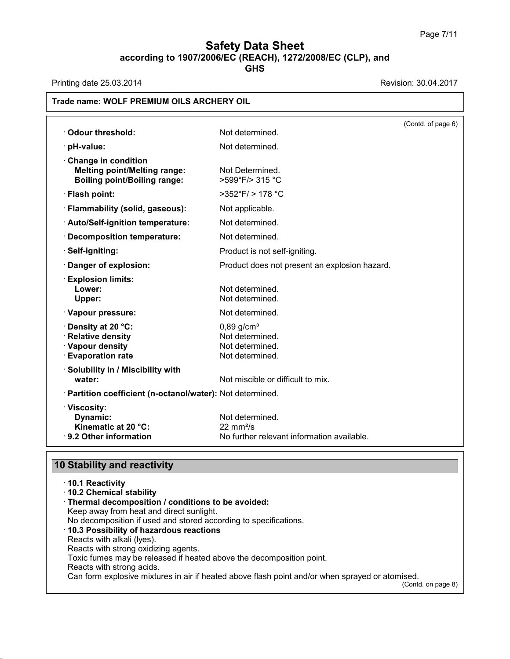# **Safety Data Sheet**<br> **according to 1907/2006/EC (REACH), 1272/2008/EC (CLP), and**<br> **GHS Safety Data Sheet**<br>
according to 1907/2006/EC (REACH), 1272/2008/EC (CLP), and<br>
Printing date 25.03.2014<br>
Revision: 30.04.2017<br>
Revision: 30.04.2017

**GHS**

| <b>Odour threshold:</b>                                                                           | Not determined.                                                                             | (Contd. of page 6) |
|---------------------------------------------------------------------------------------------------|---------------------------------------------------------------------------------------------|--------------------|
| · pH-value:                                                                                       | Not determined.                                                                             |                    |
| Change in condition<br><b>Melting point/Melting range:</b><br><b>Boiling point/Boiling range:</b> | Not Determined.<br>>599°F/> 315 °C                                                          |                    |
| · Flash point:                                                                                    | $>352^{\circ}$ F/ $>178^{\circ}$ C                                                          |                    |
| · Flammability (solid, gaseous):                                                                  | Not applicable.                                                                             |                    |
| · Auto/Self-ignition temperature:                                                                 | Not determined.                                                                             |                    |
| · Decomposition temperature:                                                                      | Not determined.                                                                             |                    |
| · Self-igniting:                                                                                  | Product is not self-igniting.                                                               |                    |
| Danger of explosion:                                                                              | Product does not present an explosion hazard.                                               |                    |
| <b>Explosion limits:</b><br>Lower:<br>Upper:                                                      | Not determined.<br>Not determined.                                                          |                    |
| · Vapour pressure:                                                                                | Not determined.                                                                             |                    |
| Density at 20 °C:<br>· Relative density<br>· Vapour density<br><b>Evaporation rate</b>            | $0,89$ g/cm <sup>3</sup><br>Not determined.<br>Not determined.<br>Not determined.           |                    |
| · Solubility in / Miscibility with<br>water:                                                      | Not miscible or difficult to mix.                                                           |                    |
| · Partition coefficient (n-octanol/water): Not determined.                                        |                                                                                             |                    |
| · Viscosity:<br>Dynamic:<br>Kinematic at 20 °C:<br>· 9.2 Other information                        | Not determined.<br>$22 \text{ mm}^2/\text{s}$<br>No further relevant information available. |                    |

| 9.2 Other Information                                            | <u>ino iuriner reievant information available.</u>                                              |
|------------------------------------------------------------------|-------------------------------------------------------------------------------------------------|
| <b>10 Stability and reactivity</b>                               |                                                                                                 |
| ⋅10.1 Reactivity                                                 |                                                                                                 |
| 10.2 Chemical stability                                          |                                                                                                 |
| · Thermal decomposition / conditions to be avoided:              |                                                                                                 |
| Keep away from heat and direct sunlight.                         |                                                                                                 |
| No decomposition if used and stored according to specifications. |                                                                                                 |
| 10.3 Possibility of hazardous reactions                          |                                                                                                 |
| Reacts with alkali (Iyes).                                       |                                                                                                 |
| Reacts with strong oxidizing agents.                             |                                                                                                 |
|                                                                  | Toxic fumes may be released if heated above the decomposition point.                            |
| Reacts with strong acids.                                        |                                                                                                 |
|                                                                  | Can form explosive mixtures in air if heated above flash point and/or when sprayed or atomised. |
|                                                                  | (Contd. on page 8)                                                                              |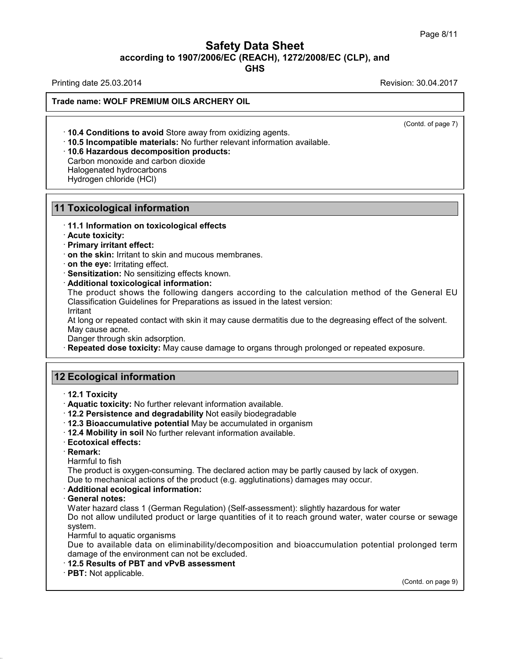# Safety Data Sheet<br><sub>006/EC (REACH), 1272/2008/EC (CLP),<br>GHS</sub> Page 8/11<br>**according to 1907/2006/EC (REACH), 1272/2008/EC (CLP), and<br>GHS<br>Revision: 30.04.2017<br>Revision: 30.04.2017 Safety Data Sheet**<br>
according to 1907/2006/EC (REACH), 1272/2008/EC (CLP), and<br>
Printing date 25.03.2014<br>
Revision: 30.04.2017<br>
Revision: 30.04.2017

**GHS**

**Trade name: WOLF PREMIUM OILS ARCHERY OIL**

 $\overline{(\text{Cond. of page 7})}$ 

**Example 10.4 Conditions to avoid Store away from oxidizing agents.**<br>• **10.4 Conditions to avoid Store away from oxidizing agents.**<br>• **10.5 Incompatible materials:** No further relevant information available.<br>• **10.6 Hazar 10.4 Conditions to avoid** Store away from oxidiz<br>**10.5 Incompatible materials:** No further relevant<br>**10.6 Hazardous decomposition products:**<br>Carbon monoxide and carbon dioxide<br>Halogenated hydrocarbons<br>Hydrogen chloride (H **10.4 Conditions to avoid** Store aw<br>**10.5 Incompatible materials:** No f<br>**10.6 Hazardous decomposition p**<br>Carbon monoxide and carbon dioxic<br>Halogenated hydrocarbons<br>Hydrogen chloride (HCl) **10.4 Conditions to avoid** Store away<br>**10.5 Incompatible materials:** No furt<br>**10.6 Hazardous decomposition pro**<br>Carbon monoxide and carbon dioxide<br>Halogenated hydrocarbons<br>Hydrogen chloride (HCl)

# **Foxicological inform**<br>• 11.1 Information on toxi<br>• Acute toxicity:<br>• Primary irritant effect:<br>• on the skin: Irritant to ski **Foxicological information**<br>• 11.1 Information on toxicological<br>• Acute toxicity:<br>• Primary irritant effect:<br>• on the skin: Irritant to skin and mud<br>• on the eve: Irritating effect.

**10.6 Hazardous decomposition products:**<br>Carbon monoxide and carbon dioxide<br>Halogenated hydrocarbons<br>Hydrogen chloride (HCl)<br>**11 Toxicological information**<br>11.1 Information on toxicological effects **11.1 Toxicological information<br>11.1 Information on toxicological effects**<br>11.1 Information on toxicological effects<br>1. Primary irritant effect:

**Proxicological information**<br> **Contract to skin:** Irritant to skin and mucous membranes.<br> **Contract to skin:** Irritant to skin and mucous membranes.<br> **Contract to skin:** Irritating effect.<br> **Contract Sensitization:** No sen **Primary irritant effect:**<br> **on the skin**: Irritant to skin and mucous membranes.<br> **On the eye:** Irritating effect.<br> **Sensitization:** No sensitizing effects known.<br> **Additional toxicological information:**<br>
The product show on the skin: Irritant to skin and mucous membranes.<br>
on the eye: Irritating effect.<br>
Sensitization: No sensitizing effects known.<br>
Additional toxicological information:<br>
The product shows the following dangers according to Sensitization: No sensitizing effects known.<br>Additional toxicological information:<br>The product shows the following dangers according to the calculation method of the General EU<br>Classification Guidelines for Preparations as Additional toxicological info<br>The product shows the follo<br>Classification Guidelines for Pi<br>Irritant<br>At long or repeated contact wit<br>May cause acne.<br>Danger through skin adsorptio<br>Repeated dose toxicity: May The product shows the following dangers according to the calculation method of the General EU<br>Classification Guidelines for Preparations as issued in the latest version:<br>Irritant<br>At long or repeated contact with skin it ma

Irritant

At long or repeated contact with skin it maid<br>
May cause acne.<br>
Danger through skin adsorption.<br> **12 Ecological information**<br> **12.1 Toxicity** 

**Repeated dose toxicity:** May cause damage to organs through prolonged or repeated exposure.<br> **12.1 Toxicity**<br> **12.1 Toxicity**<br> **12.1 Toxicity:** No further relevant information available.<br> **12.2 Persistence and degradabili** 

- 
- 

- **Ecological information**<br>
 **12.1 Toxicity**<br>
 **Aquatic toxicity:** No further relevant information available.<br>
 **12.2 Persistence and degradability** Not easily biodegradable<br>
 **12.4 Mobility in soil No further relevant 2 Ecological information**<br>
↑ 12.1 Toxicity<br>
↑ Aquatic toxicity: No further relevant information available.<br>
↑ 12.2 Persistence and degradability Not easily biodegradable<br>
↑ 12.3 Bioaccumulative potential May be accumulat **12.1 Toxicity**<br> **• Aquatic toxicity:** No further relevant information available.<br> **• 12.2 Persistence and degradability** Not easily biodegradable<br> **• 12.3 Bioaccumulative potential** May be accumulated in organism<br>
• **12.4**
- 
- 

· **Remark:**

<ul>\n<li>12.3 Bioaccumulative potential May be accumulated in organism</li>\n<li>12.4 Mobility in soil No further relevant information available.</li>\n<li>Ecotoxical effects:</li>\n<li>Remark:</li>\n<li>Hamark:</li>\n<li>Harmful to fish</li>\n<li>The product is oxygen-consuming. The declared action may be partly caused by lac Due to mechanical actions of the product (e.g. agglutinations) damages may occur.</li>\n</ul> The product is oxygen-consuming. The declared action may be partly caused by lack of oxygen.<br>Due to mechanical actions of the product (e.g. agglutinations) damages may occur.<br>
Additional ecological information: **Exercise to mechanical actions of the product information available.**<br> **Ecotoxical effects:**<br> **Remark:**<br>
Harmful to fish<br>
The product is oxygen-consuming. The declared action may be partly caused by lack of oxygen.<br>
Due

• **Harmful to fish**<br>• **Harmful to fish**<br>• The product is oxygen-cons<br>• **Additional ecological information**<br>• **General notes:**<br>• Water hazard class 1 (Germ<br>• Do not allow undiluted prod Harmful to fish<br>The product is oxygen-consuming. The declared action may be partly caused by lack of oxygen.<br>Due to mechanical actions of the product (e.g. agglutinations) damages may occur.<br>**Additional ecological informat** The product is oxygen-consuming. The declared action may be partly caused by lack of oxygen.<br>Due to mechanical actions of the product (e.g. agglutinations) damages may occur.<br>**Additional ecological information:**<br>**General n** system. Additional ecological information:<br>General notes:<br>Water hazard class 1 (German Regula<br>Do not allow undiluted product or lar<br>system.<br>Harmful to aquatic organisms<br>Due to available data on eliminabili<br>damage of the environmen General notes:<br>Water hazard class 1 (German Regulation) (Self-assessment): slightly hazardous for water<br>Do not allow undiluted product or large quantities of it to reach ground water, water course or sewage<br>system.<br>Harmful Water hazard class 1 (German Regulation) (Self-assessm<br>Do not allow undiluted product or large quantities of it to<br>system.<br>Harmful to aquatic organisms<br>Due to available data on eliminability/decomposition a<br>damage of the e

Harmful to aquatic organisms<br>Due to available data on eliminability/decomposition and bioaccumulation potential prolonged term<br>damage of the environment can not be excluded.<br>**12.5 Results of PBT and vPvB assessment**<br>**PBT:** rolonged term<br>(Contd. on page 9)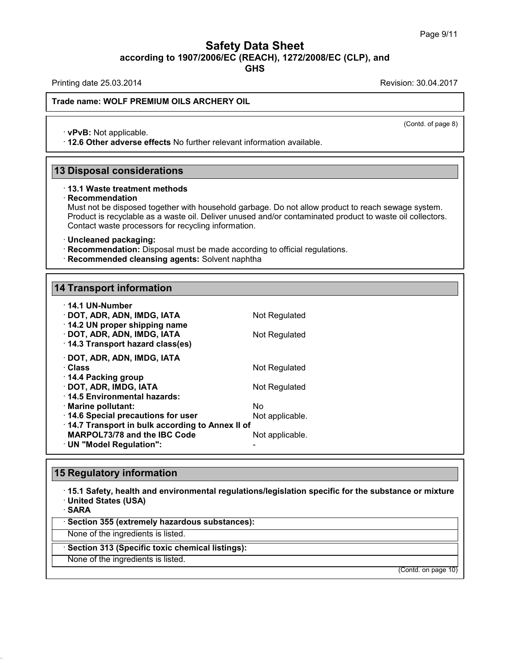# Safety Data Sheet<br><sub>006/EC (REACH), 1272/2008/EC (CLP),<br>GHS</sub> Page 9/11<br>**according to 1907/2006/EC (REACH), 1272/2008/EC (CLP), and<br>GHS<br>Revision: 30.04.2017<br>Revision: 30.04.2017 Safety Data Sheet**<br>
according to 1907/2006/EC (REACH), 1272/2008/EC (CLP), and<br>
Printing date 25.03.2014<br>
Revision: 30.04.2017<br>
Revision: 30.04.2017

**GHS**

 $\overline{(\text{Cond. of page 8})}$ 

# **Trade name: WOLF PREMIUM OILS ARCHERY OIL**

• **vPvB:** Not applicable.<br>• **vPvB:** Not applicable.<br>• 12.6 Other adverse effects No further relevant information available. **12.6 Other adverse effects** No further relevant information available.<br>
13 Disposal considerations<br>
13 Disposal considerations<br>
13.1 Waste treatment methods

# · **Recommendation**

Must not be disposed together with household garbage. Do not allow product to reach sewage system. **Disposal considerations**<br>13.1 Waste treatment methods<br>Recommendation<br>Must not be disposed together with household garbage. Do not allow product to reach sewage system.<br>Product is recyclable as a waste oil. Deliver unused **Disposal considerations**<br>13.1 Waste treatment methods<br>Recommendation<br>Must not be disposed together with household garbage. Do not allow product to reach sewage system.<br>Product is recyclable as a waste oil. Deliver unused **13.1 Waste treatment methods**<br> **Recommendation**<br>
Must not be disposed together with household garbage. Do<br>
Product is recyclable as a waste oil. Deliver unused and/or<br>
Contact waste processors for recycling information.<br> • **Recommendation:** Disposed together with household garbage. Do not allow product to reader Product is recyclable as a waste oil. Deliver unused and/or contaminated product to Contact waste processors for recycling inform

- 
- **Recommended cleansing agents:** Solvent naphtha<br>14 Transport information

| · Uncleaned packaging:<br>· Recommendation: Disposal must be made according to official regulation<br>· Recommended cleansing agents: Solvent naphtha |                       |
|-------------------------------------------------------------------------------------------------------------------------------------------------------|-----------------------|
| <b>14 Transport information</b>                                                                                                                       |                       |
|                                                                                                                                                       |                       |
| · 14.1 UN-Number<br>· DOT, ADR, ADN, IMDG, IATA<br>14.2 UN proper shipping name                                                                       | Not Regulated         |
| · DOT, ADR, ADN, IMDG, IATA<br>14.3 Transport hazard class(es)                                                                                        | Not Regulated         |
| · DOT, ADR, ADN, IMDG, IATA<br>· Class                                                                                                                | Not Regulated         |
| ⋅ 14.4 Packing group<br>· DOT, ADR, IMDG, IATA<br>⋅14.5 Environmental hazards:                                                                        | Not Regulated         |
| · Marine pollutant:<br>14.6 Special precautions for user                                                                                              | Nο<br>Not applicable. |
| 14.7 Transport in bulk according to Annex II of<br>MARPOL73/78 and the IBC Code<br>· UN "Model Regulation":                                           | Not applicable.       |
|                                                                                                                                                       |                       |
| <b>15 Regulatory information</b>                                                                                                                      |                       |
| 15.1 Safety, health and environmental regulations/legislation specific                                                                                |                       |

# **15 Regulatory information**

· **15.1 Safety, health and environmental regulations/legislation specific for the substance or mixture** • **15.1 Safety, health and environmental regulations/legeral of SARA**<br>• **SARA**<br>• **Section 355 (extremely hazardous substances):**<br>None of the ingredients is listed. None of the ingredients is listed.<br>None of the ingredients is listed.<br>None of the ingredients is listed.<br>None of the ingredients is listed.<br>None of the ingredients is listed.<br>None of the ingredients is listed.

· **SARA**

38.0.16

Sakka<br>Section 355 (extremely hazardous substar<br>None of the ingredients is listed.<br>Section 313 (Specific toxic chemical listing<br>None of the ingredients is listed.

(Contd. on page 10)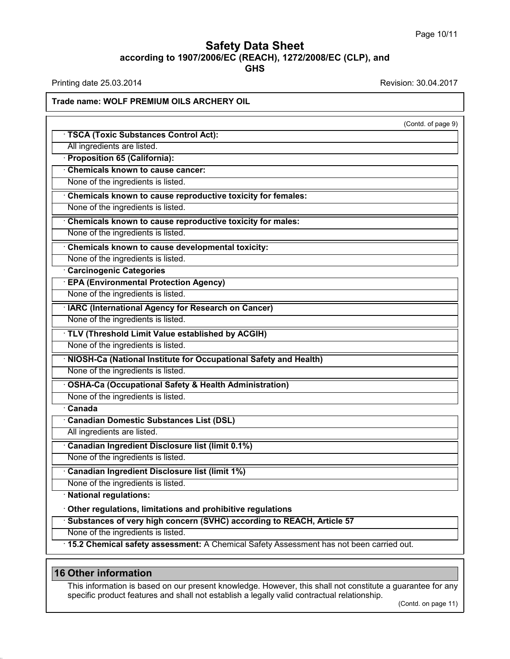# **Safety Data Sheet**<br> **according to 1907/2006/EC (REACH), 1272/2008/EC (CLP), and**<br> **GHS GHS Safety Data Sheet**<br>according to 1907/2006/EC (REACH), 1272/2008/EC (CLP), and<br>Printing date 25.03.2014<br>Revision: 30.04.2017<br>Frade name: WOLE PREMILIM OU S ARCHERY OU

# **Trade name: WOLF PREMIUM OILS ARCHERY OIL**

| $1.101019$ acto 20.00.2017                                                                                 |                       |
|------------------------------------------------------------------------------------------------------------|-----------------------|
| Trade name: WOLF PREMIUM OILS ARCHERY OIL                                                                  |                       |
|                                                                                                            | (Contd. of page 9)    |
| <b>TSCA (Toxic Substances Control Act):</b>                                                                |                       |
| All ingredients are listed.                                                                                |                       |
| <b>Proposition 65 (California):</b>                                                                        |                       |
| <b>Chemicals known to cause cancer:</b>                                                                    |                       |
| None of the ingredients is listed.                                                                         |                       |
| Chemicals known to cause reproductive toxicity for females:                                                |                       |
| None of the ingredients is listed.                                                                         |                       |
| Chemicals known to cause reproductive toxicity for males:                                                  |                       |
| None of the ingredients is listed.                                                                         |                       |
| Chemicals known to cause developmental toxicity:                                                           |                       |
| None of the ingredients is listed.                                                                         |                       |
| <b>Carcinogenic Categories</b>                                                                             |                       |
| <b>EPA (Environmental Protection Agency)</b>                                                               |                       |
| None of the ingredients is listed.                                                                         |                       |
| <b>IARC (International Agency for Research on Cancer)</b>                                                  |                       |
| None of the ingredients is listed.                                                                         |                       |
| · TLV (Threshold Limit Value established by ACGIH)                                                         |                       |
| None of the ingredients is listed.                                                                         |                       |
| NIOSH-Ca (National Institute for Occupational Safety and Health)                                           |                       |
| None of the ingredients is listed.                                                                         |                       |
| <b>OSHA-Ca (Occupational Safety &amp; Health Administration)</b>                                           |                       |
| None of the ingredients is listed.                                                                         |                       |
| $\overline{\cdot}$ Canada                                                                                  |                       |
| <b>Canadian Domestic Substances List (DSL)</b>                                                             |                       |
| All ingredients are listed.                                                                                |                       |
| Canadian Ingredient Disclosure list (limit 0.1%)                                                           |                       |
| None of the ingredients is listed.                                                                         |                       |
| <b>Canadian Ingredient Disclosure list (limit 1%)</b>                                                      |                       |
| None of the ingredients is listed.                                                                         |                       |
| · National regulations:                                                                                    |                       |
| Other regulations, limitations and prohibitive regulations                                                 |                       |
| Substances of very high concern (SVHC) according to REACH, Article 57                                      |                       |
| None of the ingredients is listed.                                                                         |                       |
| · 15.2 Chemical safety assessment: A Chemical Safety Assessment has not been carried out.                  |                       |
|                                                                                                            |                       |
| <b>16 Other information</b>                                                                                |                       |
| This information is based on our present knowledge. However, this shall not constitute a guarantee for any |                       |
| specific product features and shall not establish a legally valid contractual relationship.                |                       |
|                                                                                                            | $(Contd)$ on page 11) |

38.0.16

For the information<br>
This information<br>
This information is based on our present knowledge. However, this shall not constitute a guarantee for any<br>
specific product features and shall not establish a legally valid contractu